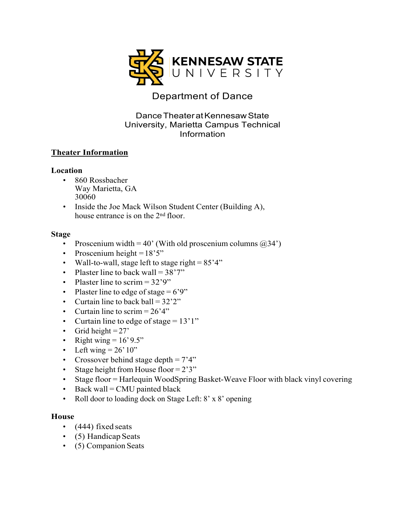

# Department of Dance

### DanceTheateratKennesawState University, Marietta Campus Technical Information

### **Theater Information**

#### **Location**

- 860 Rossbacher Way Marietta, GA 30060
- Inside the Joe Mack Wilson Student Center (Building A), house entrance is on the 2nd floor.

#### **Stage**

- Proscenium width = 40' (With old proscenium columns  $(234')$ )
- Proscenium height  $=18'5"$
- Wall-to-wall, stage left to stage right =  $85'4"$
- Plaster line to back wall  $= 38'7''$
- Plaster line to scrim  $= 32'9''$
- Plaster line to edge of stage  $= 6'9''$
- Curtain line to back ball  $= 32'2''$
- Curtain line to scrim  $= 26'4''$
- Curtain line to edge of stage  $= 13'1''$
- Grid height  $= 27'$
- Right wing  $= 16' 9.5"$
- Left wing  $= 26' 10"$
- Crossover behind stage depth  $= 7'4"$
- Stage height from House floor =  $2'3''$
- Stage floor = Harlequin WoodSpring Basket-Weave Floor with black vinyl covering
- Back wall  $=$  CMU painted black
- Roll door to loading dock on Stage Left: 8' x 8' opening

#### **House**

- (444) fixed seats
- (5) Handicap Seats
- (5) Companion Seats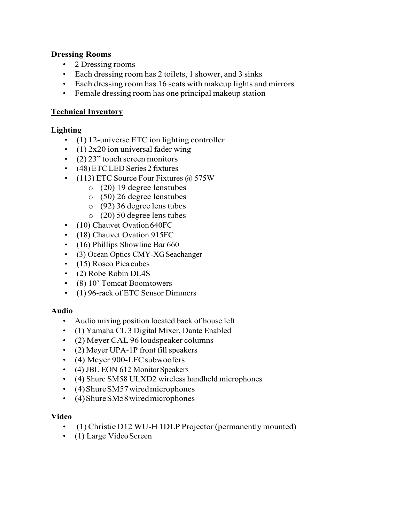#### **Dressing Rooms**

- 2 Dressing rooms
- Each dressing room has 2 toilets, 1 shower, and 3 sinks
- Each dressing room has 16 seats with makeup lights and mirrors
- Female dressing room has one principal makeup station

## **Technical Inventory**

## **Lighting**

- (1) 12-universe ETC ion lighting controller
- (1)  $2x20$  ion universal fader wing
- $(2)$  23" touch screen monitors
- (48)ETCLED Series 2 fixtures
- (113) ETC Source Four Fixtures @ 575W
	- o (20) 19 degree lenstubes
	- o (50) 26 degree lenstubes
	- o (92) 36 degree lens tubes
	- o (20) 50 degree lens tubes
- (10) Chauvet Ovation 640FC
- (18) Chauvet Ovation 915FC
- (16) Phillips Showline Bar 660
- (3) Ocean Optics CMY-XG Seachanger
- (15) Rosco Pica cubes
- (2) Robe Robin DL4S
- (8) 10' Tomcat Boomtowers
- (1) 96-rack of ETC Sensor Dimmers

## **Audio**

- Audio mixing position located back of house left
- (1) Yamaha CL 3 Digital Mixer, Dante Enabled
- (2) Meyer CAL 96 loudspeaker columns
- (2) Meyer UPA-1P front fill speakers
- (4) Meyer 900-LFC subwoofers
- (4) JBL EON 612 Monitor Speakers
- (4) Shure SM58 ULXD2 wireless handheld microphones
- (4) Shure SM57 wired microphones
- (4)ShureSM58wiredmicrophones

## **Video**

- (1) Christie D12 WU-H 1DLP Projector (permanently mounted)
- (1) Large Video Screen